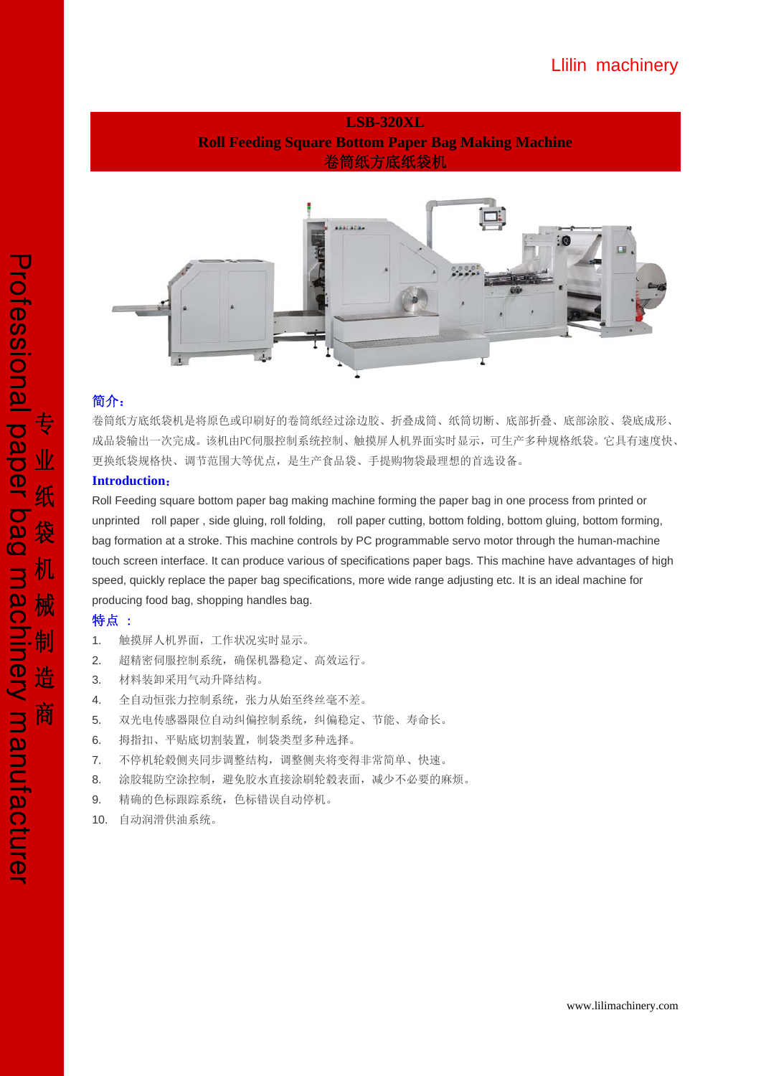# **LSB-320XL Roll Feeding Square Bottom Paper Bag Making Machine**  卷筒纸方底纸袋机



# 简介:

卷筒纸方底纸袋机是将原色或印刷好的卷筒纸经过涂边胶、折叠成筒、纸筒切断、底部折叠、底部涂胶、袋底成形、 成品袋输出一次完成。该机由PC伺服控制系统控制、触摸屏人机界面实时显示,可生产多种规格纸袋。它具有速度快、 更换纸袋规格快、调节范围大等优点,是生产食品袋、手提购物袋最理想的首选设备。

# **Introduction**:

Roll Feeding square bottom paper bag making machine forming the paper bag in one process from printed or unprinted roll paper , side gluing, roll folding, roll paper cutting, bottom folding, bottom gluing, bottom forming, bag formation at a stroke. This machine controls by PC programmable servo motor through the human-machine touch screen interface. It can produce various of specifications paper bags. This machine have advantages of high speed, quickly replace the paper bag specifications, more wide range adjusting etc. It is an ideal machine for producing food bag, shopping handles bag.

### 特点 :

- 1. 触摸屏人机界面,工作状况实时显示。
- 2. 超精密伺服控制系统,确保机器稳定、高效运行。
- 3. 材料装卸采用气动升降结构。
- 4. 全自动恒张力控制系统,张力从始至终丝毫不差。
- 5. 双光电传感器限位自动纠偏控制系统,纠偏稳定、节能、寿命长。
- 6. 拇指扣、平贴底切割装置,制袋类型多种选择。
- 7. 不停机轮毂侧夹同步调整结构,调整侧夹将变得非常简单、快速。
- 8. 涂胶辊防空涂控制,避免胶水直接涂刷轮毂表面,减少不必要的麻烦。
- 9. 精确的色标跟踪系统,色标错误自动停机。
- 10. 自动润滑供油系统。